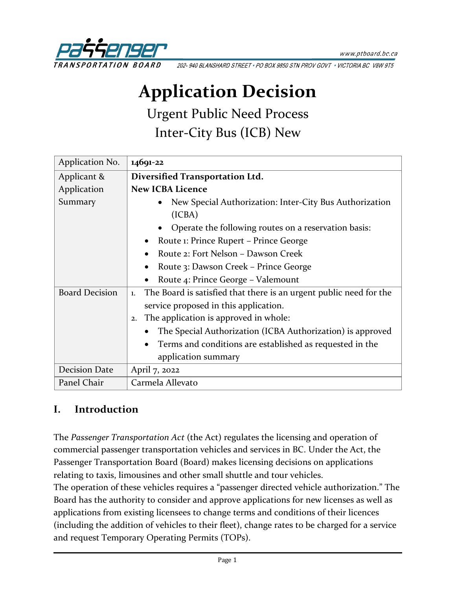

202-940 BLANSHARD STREET . PO BOX 9850 STN PROV GOVT . VICTORIA BC V8W 9T5

# **Application Decision**

Urgent Public Need Process Inter-City Bus (ICB) New

| Application No.       | 14691-22                                                                 |  |  |
|-----------------------|--------------------------------------------------------------------------|--|--|
| Applicant &           | Diversified Transportation Ltd.                                          |  |  |
| Application           | <b>New ICBA Licence</b>                                                  |  |  |
| Summary               | New Special Authorization: Inter-City Bus Authorization                  |  |  |
|                       | (ICBA)                                                                   |  |  |
|                       | Operate the following routes on a reservation basis:                     |  |  |
|                       | Route 1: Prince Rupert – Prince George                                   |  |  |
|                       | Route 2: Fort Nelson - Dawson Creek                                      |  |  |
|                       | Route 3: Dawson Creek – Prince George                                    |  |  |
|                       | Route 4: Prince George - Valemount                                       |  |  |
| <b>Board Decision</b> | The Board is satisfied that there is an urgent public need for the<br>1. |  |  |
|                       | service proposed in this application.                                    |  |  |
|                       | The application is approved in whole:<br>2.                              |  |  |
|                       | The Special Authorization (ICBA Authorization) is approved               |  |  |
|                       | Terms and conditions are established as requested in the                 |  |  |
|                       | application summary                                                      |  |  |
| <b>Decision Date</b>  | April 7, 2022                                                            |  |  |
| Panel Chair           | Carmela Allevato                                                         |  |  |

#### **I. Introduction**

The *Passenger Transportation Act* (the Act) regulates the licensing and operation of commercial passenger transportation vehicles and services in BC. Under the Act, the Passenger Transportation Board (Board) makes licensing decisions on applications relating to taxis, limousines and other small shuttle and tour vehicles.

The operation of these vehicles requires a "passenger directed vehicle authorization." The Board has the authority to consider and approve applications for new licenses as well as applications from existing licensees to change terms and conditions of their licences (including the addition of vehicles to their fleet), change rates to be charged for a service and request Temporary Operating Permits (TOPs).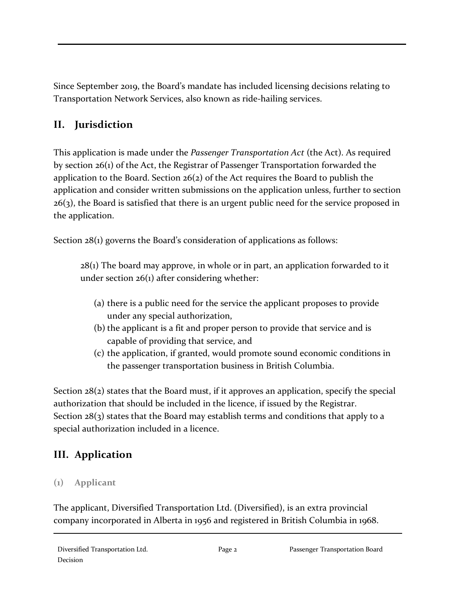Since September 2019, the Board's mandate has included licensing decisions relating to Transportation Network Services, also known as ride-hailing services.

# **II. Jurisdiction**

This application is made under the *Passenger Transportation Act* (the Act). As required by section 26(1) of the Act, the Registrar of Passenger Transportation forwarded the application to the Board. Section 26(2) of the Act requires the Board to publish the application and consider written submissions on the application unless, further to section  $26(3)$ , the Board is satisfied that there is an urgent public need for the service proposed in the application.

Section 28(1) governs the Board's consideration of applications as follows:

 $28(i)$  The board may approve, in whole or in part, an application forwarded to it under section 26(1) after considering whether:

- (a) there is a public need for the service the applicant proposes to provide under any special authorization,
- (b) the applicant is a fit and proper person to provide that service and is capable of providing that service, and
- (c) the application, if granted, would promote sound economic conditions in the passenger transportation business in British Columbia.

Section 28(2) states that the Board must, if it approves an application, specify the special authorization that should be included in the licence, if issued by the Registrar. Section  $28(3)$  states that the Board may establish terms and conditions that apply to a special authorization included in a licence.

# **III. Application**

## **(1) Applicant**

The applicant, Diversified Transportation Ltd. (Diversified), is an extra provincial company incorporated in Alberta in 1956 and registered in British Columbia in 1968.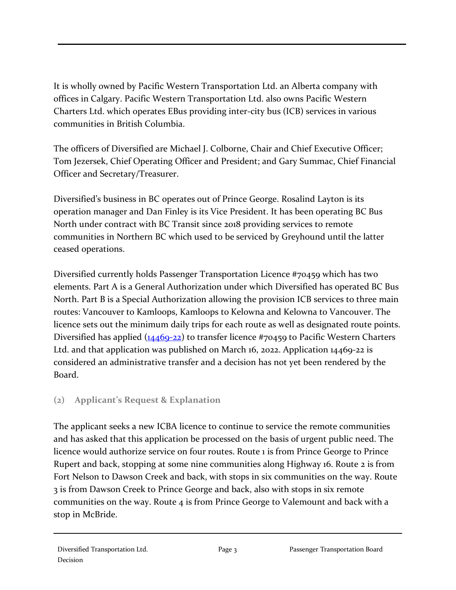It is wholly owned by Pacific Western Transportation Ltd. an Alberta company with offices in Calgary. Pacific Western Transportation Ltd. also owns Pacific Western Charters Ltd. which operates EBus providing inter-city bus (ICB) services in various communities in British Columbia.

The officers of Diversified are Michael J. Colborne, Chair and Chief Executive Officer; Tom Jezersek, Chief Operating Officer and President; and Gary Summac, Chief Financial Officer and Secretary/Treasurer.

Diversified's business in BC operates out of Prince George. Rosalind Layton is its operation manager and Dan Finley is its Vice President. It has been operating BC Bus North under contract with BC Transit since 2018 providing services to remote communities in Northern BC which used to be serviced by Greyhound until the latter ceased operations.

Diversified currently holds Passenger Transportation Licence #70459 which has two elements. Part A is a General Authorization under which Diversified has operated BC Bus North. Part B is a Special Authorization allowing the provision ICB services to three main routes: Vancouver to Kamloops, Kamloops to Kelowna and Kelowna to Vancouver. The licence sets out the minimum daily trips for each route as well as designated route points. Diversified has applied  $(14469-22)$  to transfer licence #70459 to Pacific Western Charters Ltd. and that application was published on March 16, 2022. Application 14469-22 is considered an administrative transfer and a decision has not yet been rendered by the Board.

#### **(2) Applicant's Request & Explanation**

The applicant seeks a new ICBA licence to continue to service the remote communities and has asked that this application be processed on the basis of urgent public need. The licence would authorize service on four routes. Route 1 is from Prince George to Prince Rupert and back, stopping at some nine communities along Highway 16. Route 2 is from Fort Nelson to Dawson Creek and back, with stops in six communities on the way. Route 3 is from Dawson Creek to Prince George and back, also with stops in six remote communities on the way. Route 4 is from Prince George to Valemount and back with a stop in McBride.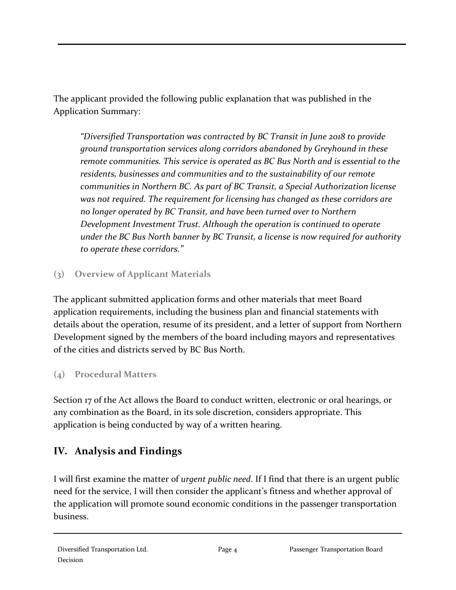The applicant provided the following public explanation that was published in the Application Summary:

*"Diversified Transportation was contracted by BC Transit in June 2018 to provide ground transportation services along corridors abandoned by Greyhound in these remote communities. This service is operated as BC Bus North and is essential to the residents, businesses and communities and to the sustainability of our remote communities in Northern BC. As part of BC Transit, a Special Authorization license was not required. The requirement for licensing has changed as these corridors are no longer operated by BC Transit, and have been turned over to Northern Development Investment Trust. Although the operation is continued to operate under the BC Bus North banner by BC Transit, a license is now required for authority to operate these corridors."*

### **(3) Overview of Applicant Materials**

The applicant submitted application forms and other materials that meet Board application requirements, including the business plan and financial statements with details about the operation, resume of its president, and a letter of support from Northern Development signed by the members of the board including mayors and representatives of the cities and districts served by BC Bus North.

## **(4) Procedural Matters**

Section 17 of the Act allows the Board to conduct written, electronic or oral hearings, or any combination as the Board, in its sole discretion, considers appropriate. This application is being conducted by way of a written hearing.

# **IV. Analysis and Findings**

I will first examine the matter of *urgent public need*. If I find that there is an urgent public need for the service, I will then consider the applicant's fitness and whether approval of the application will promote sound economic conditions in the passenger transportation business.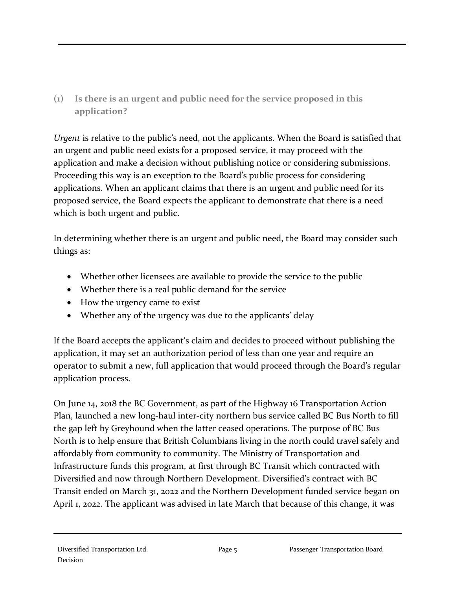**(1) Is there is an urgent and public need for the service proposed in this application?**

*Urgent* is relative to the public's need, not the applicants. When the Board is satisfied that an urgent and public need exists for a proposed service, it may proceed with the application and make a decision without publishing notice or considering submissions. Proceeding this way is an exception to the Board's public process for considering applications. When an applicant claims that there is an urgent and public need for its proposed service, the Board expects the applicant to demonstrate that there is a need which is both urgent and public.

In determining whether there is an urgent and public need, the Board may consider such things as:

- Whether other licensees are available to provide the service to the public
- Whether there is a real public demand for the service
- How the urgency came to exist
- Whether any of the urgency was due to the applicants' delay

If the Board accepts the applicant's claim and decides to proceed without publishing the application, it may set an authorization period of less than one year and require an operator to submit a new, full application that would proceed through the Board's regular application process.

On June 14, 2018 the BC Government, as part of the Highway 16 Transportation Action Plan, launched a new long-haul inter-city northern bus service called BC Bus North to fill the gap left by Greyhound when the latter ceased operations. The purpose of BC Bus North is to help ensure that British Columbians living in the north could travel safely and affordably from community to community. The Ministry of Transportation and Infrastructure funds this program, at first through BC Transit which contracted with Diversified and now through Northern Development. Diversified's contract with BC Transit ended on March 31, 2022 and the Northern Development funded service began on April 1, 2022. The applicant was advised in late March that because of this change, it was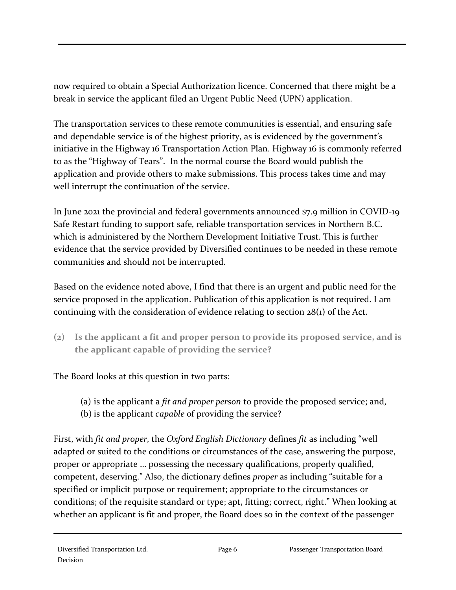now required to obtain a Special Authorization licence. Concerned that there might be a break in service the applicant filed an Urgent Public Need (UPN) application.

The transportation services to these remote communities is essential, and ensuring safe and dependable service is of the highest priority, as is evidenced by the government's initiative in the Highway 16 Transportation Action Plan. Highway 16 is commonly referred to as the "Highway of Tears". In the normal course the Board would publish the application and provide others to make submissions. This process takes time and may well interrupt the continuation of the service.

In June 2021 the provincial and federal governments announced \$7.9 million in COVID-19 Safe Restart funding to support safe, reliable transportation services in Northern B.C. which is administered by the Northern Development Initiative Trust. This is further evidence that the service provided by Diversified continues to be needed in these remote communities and should not be interrupted.

Based on the evidence noted above, I find that there is an urgent and public need for the service proposed in the application. Publication of this application is not required. I am continuing with the consideration of evidence relating to section  $28(i)$  of the Act.

**(2) Is the applicant a fit and proper person to provide its proposed service, and is the applicant capable of providing the service?**

The Board looks at this question in two parts:

- (a) is the applicant a *fit and proper person* to provide the proposed service; and,
- (b) is the applicant *capable* of providing the service?

First, with *fit and proper*, the *Oxford English Dictionary* defines *fit* as including "well adapted or suited to the conditions or circumstances of the case, answering the purpose, proper or appropriate … possessing the necessary qualifications, properly qualified, competent, deserving." Also, the dictionary defines *proper* as including "suitable for a specified or implicit purpose or requirement; appropriate to the circumstances or conditions; of the requisite standard or type; apt, fitting; correct, right." When looking at whether an applicant is fit and proper, the Board does so in the context of the passenger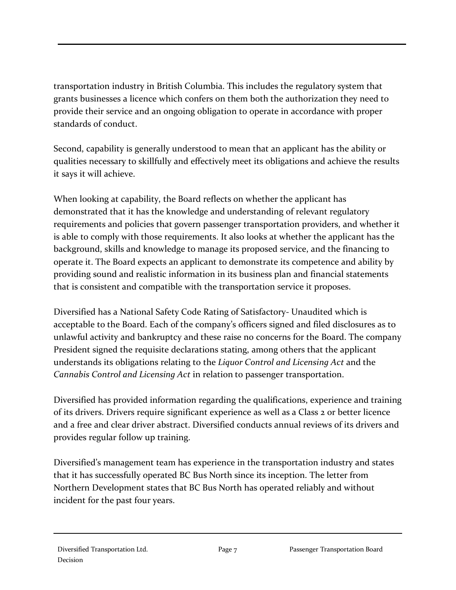transportation industry in British Columbia. This includes the regulatory system that grants businesses a licence which confers on them both the authorization they need to provide their service and an ongoing obligation to operate in accordance with proper standards of conduct.

Second, capability is generally understood to mean that an applicant has the ability or qualities necessary to skillfully and effectively meet its obligations and achieve the results it says it will achieve.

When looking at capability, the Board reflects on whether the applicant has demonstrated that it has the knowledge and understanding of relevant regulatory requirements and policies that govern passenger transportation providers, and whether it is able to comply with those requirements. It also looks at whether the applicant has the background, skills and knowledge to manage its proposed service, and the financing to operate it. The Board expects an applicant to demonstrate its competence and ability by providing sound and realistic information in its business plan and financial statements that is consistent and compatible with the transportation service it proposes.

Diversified has a National Safety Code Rating of Satisfactory- Unaudited which is acceptable to the Board. Each of the company's officers signed and filed disclosures as to unlawful activity and bankruptcy and these raise no concerns for the Board. The company President signed the requisite declarations stating, among others that the applicant understands its obligations relating to the *Liquor Control and Licensing Act* and the *Cannabis Control and Licensing Act* in relation to passenger transportation.

Diversified has provided information regarding the qualifications, experience and training of its drivers. Drivers require significant experience as well as a Class 2 or better licence and a free and clear driver abstract. Diversified conducts annual reviews of its drivers and provides regular follow up training.

Diversified's management team has experience in the transportation industry and states that it has successfully operated BC Bus North since its inception. The letter from Northern Development states that BC Bus North has operated reliably and without incident for the past four years.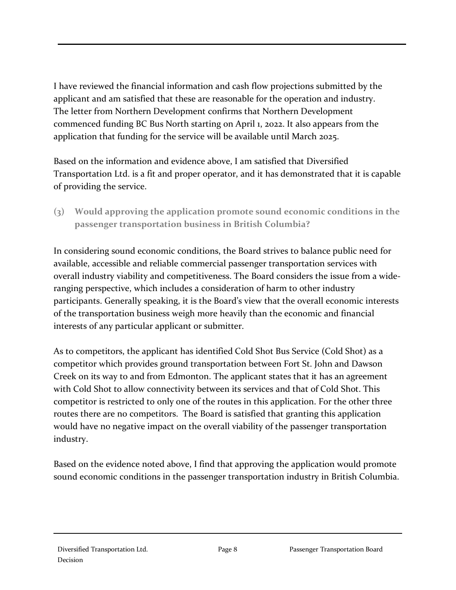I have reviewed the financial information and cash flow projections submitted by the applicant and am satisfied that these are reasonable for the operation and industry. The letter from Northern Development confirms that Northern Development commenced funding BC Bus North starting on April 1, 2022. It also appears from the application that funding for the service will be available until March 2025.

Based on the information and evidence above, I am satisfied that Diversified Transportation Ltd. is a fit and proper operator, and it has demonstrated that it is capable of providing the service.

**(3) Would approving the application promote sound economic conditions in the passenger transportation business in British Columbia?**

In considering sound economic conditions, the Board strives to balance public need for available, accessible and reliable commercial passenger transportation services with overall industry viability and competitiveness. The Board considers the issue from a wideranging perspective, which includes a consideration of harm to other industry participants. Generally speaking, it is the Board's view that the overall economic interests of the transportation business weigh more heavily than the economic and financial interests of any particular applicant or submitter.

As to competitors, the applicant has identified Cold Shot Bus Service (Cold Shot) as a competitor which provides ground transportation between Fort St. John and Dawson Creek on its way to and from Edmonton. The applicant states that it has an agreement with Cold Shot to allow connectivity between its services and that of Cold Shot. This competitor is restricted to only one of the routes in this application. For the other three routes there are no competitors. The Board is satisfied that granting this application would have no negative impact on the overall viability of the passenger transportation industry.

Based on the evidence noted above, I find that approving the application would promote sound economic conditions in the passenger transportation industry in British Columbia.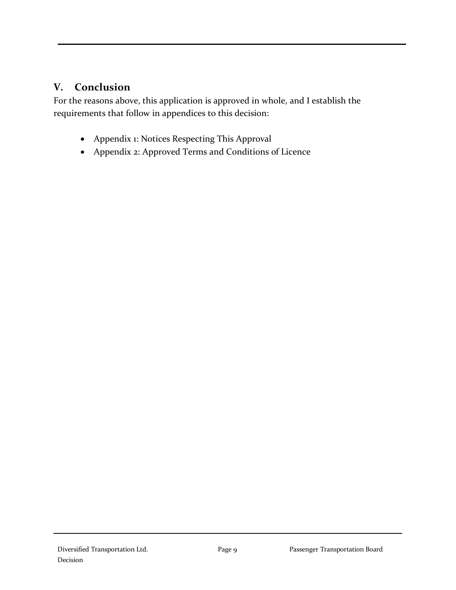## **V. Conclusion**

For the reasons above, this application is approved in whole, and I establish the requirements that follow in appendices to this decision:

- Appendix 1: Notices Respecting This Approval
- Appendix 2: Approved Terms and Conditions of Licence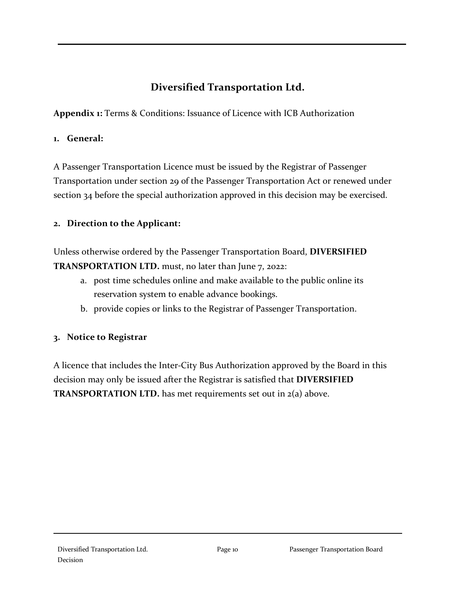## **Diversified Transportation Ltd.**

**Appendix 1:** Terms & Conditions: Issuance of Licence with ICB Authorization

#### **1. General:**

A Passenger Transportation Licence must be issued by the Registrar of Passenger Transportation under section 29 of the Passenger Transportation Act or renewed under section 34 before the special authorization approved in this decision may be exercised.

#### **2. Direction to the Applicant:**

Unless otherwise ordered by the Passenger Transportation Board, **DIVERSIFIED TRANSPORTATION LTD.** must, no later than June 7, 2022:

- a. post time schedules online and make available to the public online its reservation system to enable advance bookings.
- b. provide copies or links to the Registrar of Passenger Transportation.

#### **3. Notice to Registrar**

A licence that includes the Inter-City Bus Authorization approved by the Board in this decision may only be issued after the Registrar is satisfied that **DIVERSIFIED TRANSPORTATION LTD.** has met requirements set out in 2(a) above.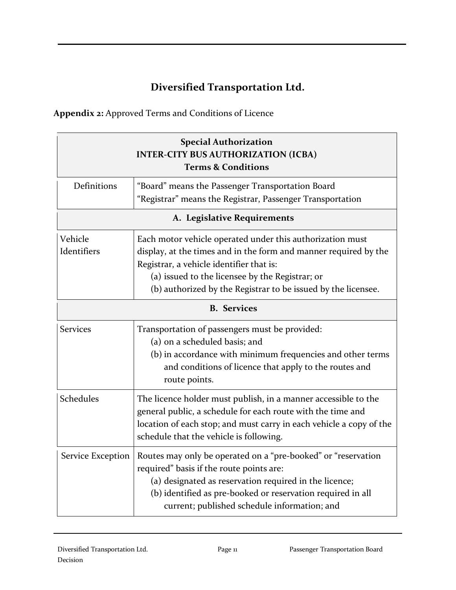# **Diversified Transportation Ltd.**

**Appendix 2:** Approved Terms and Conditions of Licence

| <b>Special Authorization</b><br><b>INTER-CITY BUS AUTHORIZATION (ICBA)</b><br><b>Terms &amp; Conditions</b> |                                                                                                                                                                                                                                                                                               |  |  |  |
|-------------------------------------------------------------------------------------------------------------|-----------------------------------------------------------------------------------------------------------------------------------------------------------------------------------------------------------------------------------------------------------------------------------------------|--|--|--|
| Definitions                                                                                                 | "Board" means the Passenger Transportation Board<br>"Registrar" means the Registrar, Passenger Transportation                                                                                                                                                                                 |  |  |  |
| A. Legislative Requirements                                                                                 |                                                                                                                                                                                                                                                                                               |  |  |  |
| Vehicle<br>Identifiers                                                                                      | Each motor vehicle operated under this authorization must<br>display, at the times and in the form and manner required by the<br>Registrar, a vehicle identifier that is:<br>(a) issued to the licensee by the Registrar; or<br>(b) authorized by the Registrar to be issued by the licensee. |  |  |  |
| <b>B.</b> Services                                                                                          |                                                                                                                                                                                                                                                                                               |  |  |  |
| <b>Services</b>                                                                                             | Transportation of passengers must be provided:<br>(a) on a scheduled basis; and<br>(b) in accordance with minimum frequencies and other terms<br>and conditions of licence that apply to the routes and<br>route points.                                                                      |  |  |  |
| Schedules                                                                                                   | The licence holder must publish, in a manner accessible to the<br>general public, a schedule for each route with the time and<br>location of each stop; and must carry in each vehicle a copy of the<br>schedule that the vehicle is following.                                               |  |  |  |
| Service Exception                                                                                           | Routes may only be operated on a "pre-booked" or "reservation<br>required" basis if the route points are:<br>(a) designated as reservation required in the licence;<br>(b) identified as pre-booked or reservation required in all<br>current; published schedule information; and            |  |  |  |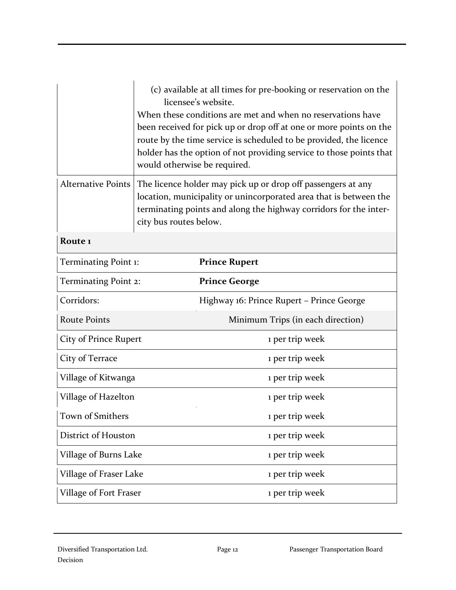|                           | (c) available at all times for pre-booking or reservation on the<br>licensee's website.<br>When these conditions are met and when no reservations have<br>been received for pick up or drop off at one or more points on the<br>route by the time service is scheduled to be provided, the licence<br>holder has the option of not providing service to those points that<br>would otherwise be required. |                                           |  |
|---------------------------|-----------------------------------------------------------------------------------------------------------------------------------------------------------------------------------------------------------------------------------------------------------------------------------------------------------------------------------------------------------------------------------------------------------|-------------------------------------------|--|
| <b>Alternative Points</b> | The licence holder may pick up or drop off passengers at any<br>location, municipality or unincorporated area that is between the<br>terminating points and along the highway corridors for the inter-<br>city bus routes below.                                                                                                                                                                          |                                           |  |
| Route <sub>1</sub>        |                                                                                                                                                                                                                                                                                                                                                                                                           |                                           |  |
| Terminating Point 1:      |                                                                                                                                                                                                                                                                                                                                                                                                           | <b>Prince Rupert</b>                      |  |
| Terminating Point 2:      |                                                                                                                                                                                                                                                                                                                                                                                                           | <b>Prince George</b>                      |  |
| Corridors:                |                                                                                                                                                                                                                                                                                                                                                                                                           | Highway 16: Prince Rupert - Prince George |  |
| <b>Route Points</b>       |                                                                                                                                                                                                                                                                                                                                                                                                           | Minimum Trips (in each direction)         |  |
| City of Prince Rupert     |                                                                                                                                                                                                                                                                                                                                                                                                           | 1 per trip week                           |  |
| City of Terrace           |                                                                                                                                                                                                                                                                                                                                                                                                           | 1 per trip week                           |  |
| Village of Kitwanga       |                                                                                                                                                                                                                                                                                                                                                                                                           | 1 per trip week                           |  |
| Village of Hazelton       |                                                                                                                                                                                                                                                                                                                                                                                                           | 1 per trip week                           |  |
| Town of Smithers          |                                                                                                                                                                                                                                                                                                                                                                                                           | 1 per trip week                           |  |
| District of Houston       |                                                                                                                                                                                                                                                                                                                                                                                                           | 1 per trip week                           |  |
| Village of Burns Lake     |                                                                                                                                                                                                                                                                                                                                                                                                           | 1 per trip week                           |  |
| Village of Fraser Lake    |                                                                                                                                                                                                                                                                                                                                                                                                           | 1 per trip week                           |  |
| Village of Fort Fraser    |                                                                                                                                                                                                                                                                                                                                                                                                           | 1 per trip week                           |  |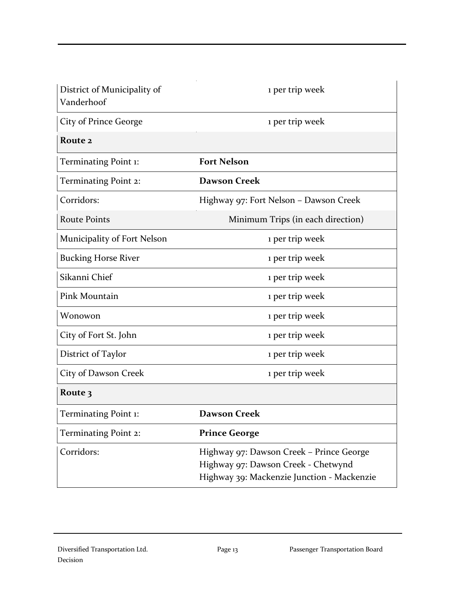| District of Municipality of<br>Vanderhoof | 1 per trip week                                                                                                               |
|-------------------------------------------|-------------------------------------------------------------------------------------------------------------------------------|
| City of Prince George                     | 1 per trip week                                                                                                               |
| Route 2                                   |                                                                                                                               |
| Terminating Point 1:                      | <b>Fort Nelson</b>                                                                                                            |
| <b>Terminating Point 2:</b>               | <b>Dawson Creek</b>                                                                                                           |
| Corridors:                                | Highway 97: Fort Nelson - Dawson Creek                                                                                        |
| <b>Route Points</b>                       | Minimum Trips (in each direction)                                                                                             |
| Municipality of Fort Nelson               | 1 per trip week                                                                                                               |
| <b>Bucking Horse River</b>                | 1 per trip week                                                                                                               |
| Sikanni Chief                             | 1 per trip week                                                                                                               |
| Pink Mountain                             | 1 per trip week                                                                                                               |
| Wonowon                                   | 1 per trip week                                                                                                               |
| City of Fort St. John                     | 1 per trip week                                                                                                               |
| District of Taylor                        | 1 per trip week                                                                                                               |
| City of Dawson Creek                      | 1 per trip week                                                                                                               |
| Route 3                                   |                                                                                                                               |
| Terminating Point 1:                      | Dawson Creek                                                                                                                  |
| Terminating Point 2:                      | <b>Prince George</b>                                                                                                          |
| Corridors:                                | Highway 97: Dawson Creek - Prince George<br>Highway 97: Dawson Creek - Chetwynd<br>Highway 39: Mackenzie Junction - Mackenzie |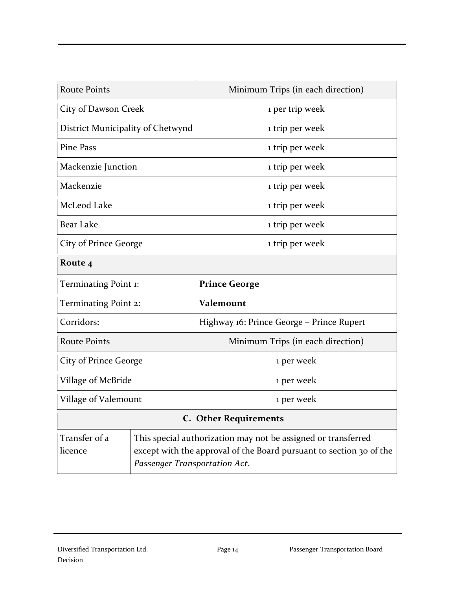| <b>Route Points</b>               |                               | Minimum Trips (in each direction)                                                                                                    |
|-----------------------------------|-------------------------------|--------------------------------------------------------------------------------------------------------------------------------------|
| City of Dawson Creek              |                               | 1 per trip week                                                                                                                      |
| District Municipality of Chetwynd |                               | 1 trip per week                                                                                                                      |
| <b>Pine Pass</b>                  |                               | 1 trip per week                                                                                                                      |
| Mackenzie Junction                |                               | 1 trip per week                                                                                                                      |
| Mackenzie                         |                               | 1 trip per week                                                                                                                      |
| McLeod Lake                       |                               | 1 trip per week                                                                                                                      |
| <b>Bear Lake</b>                  |                               | 1 trip per week                                                                                                                      |
| City of Prince George             |                               | 1 trip per week                                                                                                                      |
| Route 4                           |                               |                                                                                                                                      |
| Terminating Point 1:              |                               | <b>Prince George</b>                                                                                                                 |
| Terminating Point 2:              |                               | Valemount                                                                                                                            |
| Corridors:                        |                               | Highway 16: Prince George - Prince Rupert                                                                                            |
| <b>Route Points</b>               |                               | Minimum Trips (in each direction)                                                                                                    |
| City of Prince George             |                               | 1 per week                                                                                                                           |
| Village of McBride                |                               | 1 per week                                                                                                                           |
| Village of Valemount              |                               | 1 per week                                                                                                                           |
| <b>C.</b> Other Requirements      |                               |                                                                                                                                      |
| Transfer of a<br>licence          | Passenger Transportation Act. | This special authorization may not be assigned or transferred<br>except with the approval of the Board pursuant to section 30 of the |